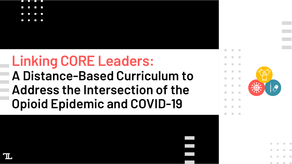

# **Linking CORE Leaders: A Distance-Based Curriculum to Address the Intersection of the Opioid Epidemic and COVID-19**

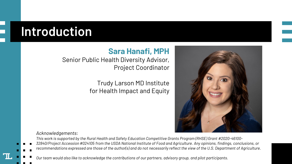## **Introduction**

#### **Sara Hanafi, MPH**

#### Senior Public Health Diversity Advisor, Project Coordinator

#### Trudy Larson MD Institute for Health Impact and Equity



*Acknowledgements:*

*This work is supported by the Rural Health and Safety Education Competitive Grants Program (RHSE) Grant #2020-46100-*

*32840/Project Accession #024105 from the USDA National Institute of Food and Agriculture. Any opinions, findings, conclusions, or recommendations expressed are those of the author(s) and do not necessarily reflect the view of the U.S. Department of Agriculture.*

*Our team would also like to acknowledge the contributions of our partners, advisory group, and pilot participants.*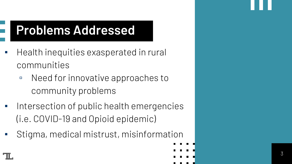## **Problems Addressed**

- Health inequities exasperated in rural communities
	- Need for innovative approaches to community problems
- Intersection of public health emergencies (i.e. COVID-19 and Opioid epidemic)
- Stigma, medical mistrust, misinformation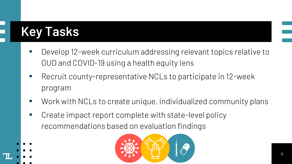# **Key Tasks**

- Develop 12-week curriculum addressing relevant topics relative to OUD and COVID-19 using a health equity lens
- Recruit county-representative NCLs to participate in 12-week program
- Work with NCLs to create unique, individualized community plans
- Create impact report complete with state-level policy recommendations based on evaluation findings

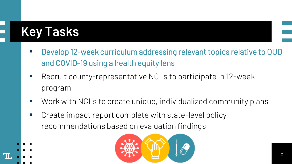# **Key Tasks**

- Develop 12-week curriculum addressing relevant topics relative to OUD and COVID-19 using a health equity lens
- Recruit county-representative NCLs to participate in 12-week program
- Work with NCLs to create unique, individualized community plans
- Create impact report complete with state-level policy recommendations based on evaluation findings

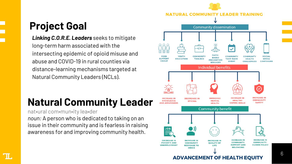## **Project Goal**

*Linking C.O.R.E. Leaders* seeks to mitigate long -term harm associated with the intersecting epidemic of opioid misuse and abuse and COVID -19 in rural counties via distance -learning mechanisms targeted at Natural Community Leaders (NCLs).

## **Natural Community Leader**

nat•ural com•mun•ity lea•der

*noun:* A person who is dedicated to taking on an issue in their community and is fearless in raising awareness for and improving community health.

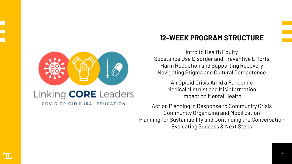

#### COVID OPIOID RURAL EDUCATION

#### **12-WEEK PROGRAM STRUCTURE**

Intro to Health Equity Substance Use Disorder and Preventive Efforts Harm Reduction and Supporting Recovery Navigating Stigma and Cultural Competence

> An Opioid Crisis Amid a Pandemic Medical Mistrust and Misinformation Impact on Mental Health

Action Planning in Response to Community Crisis Community Organizing and Mobilization Planning for Sustainability and Continuing the Conversation Evaluating Success & Next Steps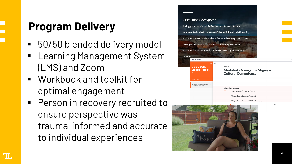# **Program Delivery**

- 50/50 blended delivery model
- Learning Management System (LMS) and Zoom
- Workbook and toolkit for optimal engagement
- **Person in recovery recruited to** ensure perspective was trauma -informed and accurate to individual experiences



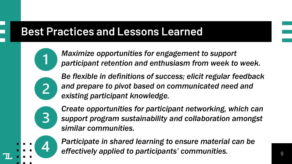### **Best Practices and Lessons Learned**

*Maximize opportunities for engagement to support participant retention and enthusiasm from week to week.*

*Be flexible in definitions of success; elicit regular feedback and prepare to pivot based on communicated need and existing participant knowledge.*



*Create opportunities for participant networking, which can support program sustainability and collaboration amongst similar communities.* 

*Participate in shared learning to ensure material can be effectively applied to participants' communities.*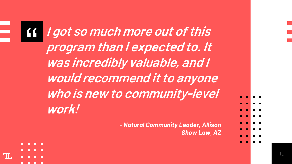**19** *I got so much more out of this*<br>*program than I expected to. It*<br>was incredibly valuable, and I **program than I expected to. It was incredibly valuable, and I would recommend it to anyone who is new to community-level work!** *- Natural Community Leader, Allison Show Low, AZ*